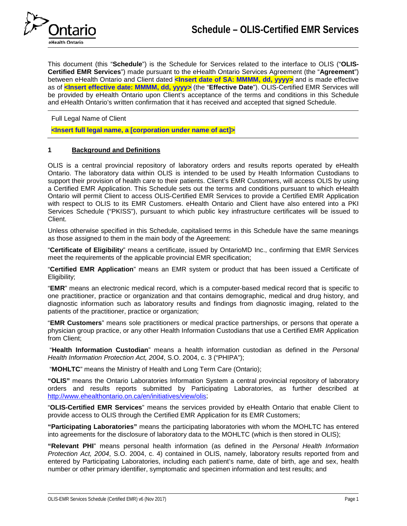

This document (this "**Schedule**") is the Schedule for Services related to the interface to OLIS ("**OLIS-Certified EMR Services**") made pursuant to the eHealth Ontario Services Agreement (the "**Agreement**") between eHealth Ontario and Client dated **<Insert date of SA: MMMM, dd, yyyy>** and is made effective as of **<Insert effective date: MMMM, dd, yyyy>** (the "**Effective Date**"). OLIS-Certified EMR Services will be provided by eHealth Ontario upon Client's acceptance of the terms and conditions in this Schedule and eHealth Ontario's written confirmation that it has received and accepted that signed Schedule.

Full Legal Name of Client

**<Insert full legal name, a [corporation under name of act]>**

## **1 Background and Definitions**

OLIS is a central provincial repository of laboratory orders and results reports operated by eHealth Ontario. The laboratory data within OLIS is intended to be used by Health Information Custodians to support their provision of health care to their patients. Client's EMR Customers, will access OLIS by using a Certified EMR Application. This Schedule sets out the terms and conditions pursuant to which eHealth Ontario will permit Client to access OLIS-Certified EMR Services to provide a Certified EMR Application with respect to OLIS to its EMR Customers. eHealth Ontario and Client have also entered into a PKI Services Schedule ("PKISS"), pursuant to which public key infrastructure certificates will be issued to Client.

Unless otherwise specified in this Schedule, capitalised terms in this Schedule have the same meanings as those assigned to them in the main body of the Agreement:

"**Certificate of Eligibility**" means a certificate, issued by OntarioMD Inc., confirming that EMR Services meet the requirements of the applicable provincial EMR specification;

"**Certified EMR Application**" means an EMR system or product that has been issued a Certificate of Eligibility;

"**EMR**" means an electronic medical record, which is a computer-based medical record that is specific to one practitioner, practice or organization and that contains demographic, medical and drug history, and diagnostic information such as laboratory results and findings from diagnostic imaging, related to the patients of the practitioner, practice or organization;

"**EMR Customers**" means sole practitioners or medical practice partnerships, or persons that operate a physician group practice, or any other Health Information Custodians that use a Certified EMR Application from Client;

"**Health Information Custodian**" means a health information custodian as defined in the *Personal Health Information Protection Act, 2004*, S.O. 2004, c. 3 ("PHIPA");

"**MOHLTC**" means the Ministry of Health and Long Term Care (Ontario);

**"OLIS"** means the Ontario Laboratories Information System a central provincial repository of laboratory orders and results reports submitted by Participating Laboratories, as further described at [http://www.ehealthontario.on.ca/en/initiatives/view/olis;](http://www.ehealthontario.on.ca/en/initiatives/view/olis)

"**OLIS-Certified EMR Services**" means the services provided by eHealth Ontario that enable Client to provide access to OLIS through the Certified EMR Application for its EMR Customers;

**"Participating Laboratories"** means the participating laboratories with whom the MOHLTC has entered into agreements for the disclosure of laboratory data to the MOHLTC (which is then stored in OLIS);

**"Relevant PHI**" means personal health information (as defined in the *Personal Health Information Protection Act, 2004*, S.O. 2004, c. 4) contained in OLIS, namely, laboratory results reported from and entered by Participating Laboratories, including each patient's name, date of birth, age and sex, health number or other primary identifier, symptomatic and specimen information and test results; and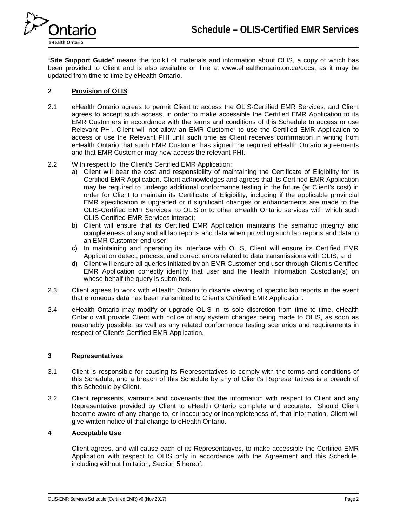

"**Site Support Guide**" means the toolkit of materials and information about OLIS, a copy of which has been provided to Client and is also available on line at www.ehealthontario.on.ca/docs, as it may be updated from time to time by eHealth Ontario.

## **2 Provision of OLIS**

- 2.1 eHealth Ontario agrees to permit Client to access the OLIS-Certified EMR Services, and Client agrees to accept such access, in order to make accessible the Certified EMR Application to its EMR Customers in accordance with the terms and conditions of this Schedule to access or use Relevant PHI. Client will not allow an EMR Customer to use the Certified EMR Application to access or use the Relevant PHI until such time as Client receives confirmation in writing from eHealth Ontario that such EMR Customer has signed the required eHealth Ontario agreements and that EMR Customer may now access the relevant PHI.
- 2.2 With respect to the Client's Certified EMR Application:
	- a) Client will bear the cost and responsibility of maintaining the Certificate of Eligibility for its Certified EMR Application. Client acknowledges and agrees that its Certified EMR Application may be required to undergo additional conformance testing in the future (at Client's cost) in order for Client to maintain its Certificate of Eligibility, including if the applicable provincial EMR specification is upgraded or if significant changes or enhancements are made to the OLIS-Certified EMR Services, to OLIS or to other eHealth Ontario services with which such OLIS-Certified EMR Services interact;
	- b) Client will ensure that its Certified EMR Application maintains the semantic integrity and completeness of any and all lab reports and data when providing such lab reports and data to an EMR Customer end user;
	- c) In maintaining and operating its interface with OLIS, Client will ensure its Certified EMR Application detect, process, and correct errors related to data transmissions with OLIS; and
	- d) Client will ensure all queries initiated by an EMR Customer end user through Client's Certified EMR Application correctly identify that user and the Health Information Custodian(s) on whose behalf the query is submitted.
- 2.3 Client agrees to work with eHealth Ontario to disable viewing of specific lab reports in the event that erroneous data has been transmitted to Client's Certified EMR Application.
- 2.4 eHealth Ontario may modify or upgrade OLIS in its sole discretion from time to time. eHealth Ontario will provide Client with notice of any system changes being made to OLIS, as soon as reasonably possible, as well as any related conformance testing scenarios and requirements in respect of Client's Certified EMR Application.

### **3 Representatives**

- 3.1 Client is responsible for causing its Representatives to comply with the terms and conditions of this Schedule, and a breach of this Schedule by any of Client's Representatives is a breach of this Schedule by Client.
- 3.2 Client represents, warrants and covenants that the information with respect to Client and any Representative provided by Client to eHealth Ontario complete and accurate. Should Client become aware of any change to, or inaccuracy or incompleteness of, that information, Client will give written notice of that change to eHealth Ontario.

### **4 Acceptable Use**

Client agrees, and will cause each of its Representatives, to make accessible the Certified EMR Application with respect to OLIS only in accordance with the Agreement and this Schedule, including without limitation, Section 5 hereof.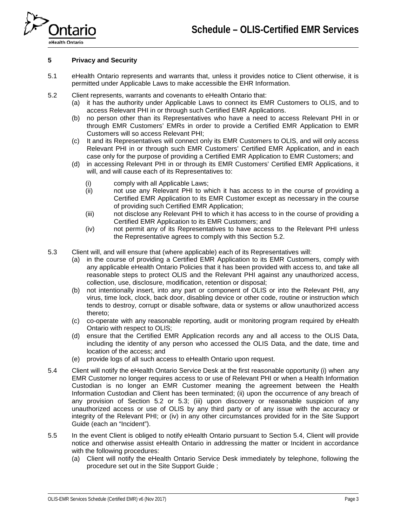

### **5 Privacy and Security**

- 5.1 eHealth Ontario represents and warrants that, unless it provides notice to Client otherwise, it is permitted under Applicable Laws to make accessible the EHR Information.
- <span id="page-2-0"></span>5.2 Client represents, warrants and covenants to eHealth Ontario that:
	- (a) it has the authority under Applicable Laws to connect its EMR Customers to OLIS, and to access Relevant PHI in or through such Certified EMR Applications.
	- (b) no person other than its Representatives who have a need to access Relevant PHI in or through EMR Customers' EMRs in order to provide a Certified EMR Application to EMR Customers will so access Relevant PHI;
	- (c) It and its Representatives will connect only its EMR Customers to OLIS, and will only access Relevant PHI in or through such EMR Customers' Certified EMR Application, and in each case only for the purpose of providing a Certified EMR Application to EMR Customers; and
	- (d) in accessing Relevant PHI in or through its EMR Customers' Certified EMR Applications, it will, and will cause each of its Representatives to:
		- (i) comply with all Applicable Laws;
		- (ii) not use any Relevant PHI to which it has access to in the course of providing a Certified EMR Application to its EMR Customer except as necessary in the course of providing such Certified EMR Application;
		- (iii) not disclose any Relevant PHI to which it has access to in the course of providing a Certified EMR Application to its EMR Customers; and
		- (iv) not permit any of its Representatives to have access to the Relevant PHI unless the Representative agrees to comply with this Section 5.2.
- <span id="page-2-1"></span>5.3 Client will, and will ensure that (where applicable) each of its Representatives will:
	- (a) in the course of providing a Certified EMR Application to its EMR Customers, comply with any applicable eHealth Ontario Policies that it has been provided with access to, and take all reasonable steps to protect OLIS and the Relevant PHI against any unauthorized access, collection, use, disclosure, modification, retention or disposal;
	- (b) not intentionally insert, into any part or component of OLIS or into the Relevant PHI, any virus, time lock, clock, back door, disabling device or other code, routine or instruction which tends to destroy, corrupt or disable software, data or systems or allow unauthorized access thereto;
	- (c) co-operate with any reasonable reporting, audit or monitoring program required by eHealth Ontario with respect to OLIS;
	- (d) ensure that the Certified EMR Application records any and all access to the OLIS Data, including the identity of any person who accessed the OLIS Data, and the date, time and location of the access; and
	- (e) provide logs of all such access to eHealth Ontario upon request.
- <span id="page-2-2"></span>5.4 Client will notify the eHealth Ontario Service Desk at the first reasonable opportunity (i) when any EMR Customer no longer requires access to or use of Relevant PHI or when a Health Information Custodian is no longer an EMR Customer meaning the agreement between the Health Information Custodian and Client has been terminated; (ii) upon the occurrence of any breach of any provision of Section [5.2](#page-2-0) or [5.3;](#page-2-1) (iii) upon discovery or reasonable suspicion of any unauthorized access or use of OLIS by any third party or of any issue with the accuracy or integrity of the Relevant PHI; or (iv) in any other circumstances provided for in the Site Support Guide (each an "Incident").
- 5.5 In the event Client is obliged to notify eHealth Ontario pursuant to Section [5.4,](#page-2-2) Client will provide notice and otherwise assist eHealth Ontario in addressing the matter or Incident in accordance with the following procedures:
	- (a) Client will notify the eHealth Ontario Service Desk immediately by telephone, following the procedure set out in the Site Support Guide ;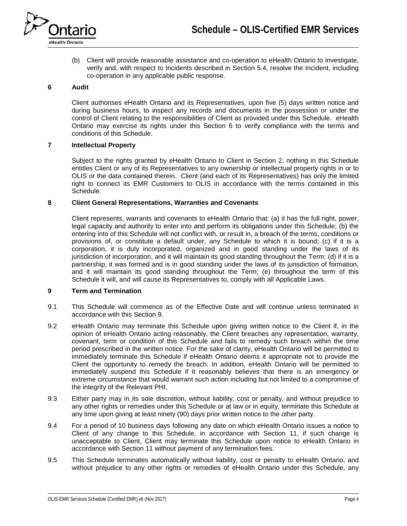

(b) Client will provide reasonable assistance and co-operation to eHealth Ontario to investigate, verify and, with respect to Incidents described in Section 5.4, resolve the Incident, including co-operation in any applicable public response.

# **6 Audit**

Client authorises eHealth Ontario and its Representatives, upon five (5) days written notice and during business hours, to inspect any records and documents in the possession or under the control of Client relating to the responsibilities of Client as provided under this Schedule. eHealth Ontario may exercise its rights under this Section 6 to verify compliance with the terms and conditions of this Schedule.

### **7 Intellectual Property**

Subject to the rights granted by eHealth Ontario to Client in Section 2, nothing in this Schedule entitles Client or any of its Representatives to any ownership or intellectual property rights in or to OLIS or the data contained therein. Client (and each of its Representatives) has only the limited right to connect its EMR Customers to OLIS in accordance with the terms contained in this Schedule.

### **8 Client General Representations, Warranties and Covenants**

Client represents, warrants and covenants to eHealth Ontario that: (a) it has the full right, power, legal capacity and authority to enter into and perform its obligations under this Schedule; (b) the entering into of this Schedule will not conflict with, or result in, a breach of the terms, conditions or provisions of, or constitute a default under, any Schedule to which it is bound; (c) if it is a corporation, it is duly incorporated, organized and in good standing under the laws of its jurisdiction of incorporation, and it will maintain its good standing throughout the Term; (d) if it is a partnership, it was formed and is in good standing under the laws of its jurisdiction of formation, and it will maintain its good standing throughout the Term; (e) throughout the term of this Schedule it will, and will cause its Representatives to, comply with all Applicable Laws.

#### **9 Term and Termination**

- 9.1 This Schedule will commence as of the Effective Date and will continue unless terminated in accordance with this Section 9.
- 9.2 eHealth Ontario may terminate this Schedule upon giving written notice to the Client if, in the opinion of eHealth Ontario acting reasonably, the Client breaches any representation, warranty, covenant, term or condition of this Schedule and fails to remedy such breach within the time period prescribed in the written notice. For the sake of clarity, eHealth Ontario will be permitted to immediately terminate this Schedule if eHealth Ontario deems it appropriate not to provide the Client the opportunity to remedy the breach. In addition, eHealth Ontario will be permitted to immediately suspend this Schedule if it reasonably believes that there is an emergency or extreme circumstance that would warrant such action including but not limited to a compromise of the integrity of the Relevant PHI.
- 9.3 Either party may in its sole discretion, without liability, cost or penalty, and without prejudice to any other rights or remedies under this Schedule or at law or in equity, terminate this Schedule at any time upon giving at least ninety (90) days prior written notice to the other party.
- 9.4 For a period of 10 business days following any date on which eHealth Ontario issues a notice to Client of any change to this Schedule, in accordance with Section 11, if such change is unacceptable to Client, Client may terminate this Schedule upon notice to eHealth Ontario in accordance with Section [11](#page-4-0) without payment of any termination fees.
- 9.5 This Schedule terminates automatically without liability, cost or penalty to eHealth Ontario, and without prejudice to any other rights or remedies of eHealth Ontario under this Schedule, any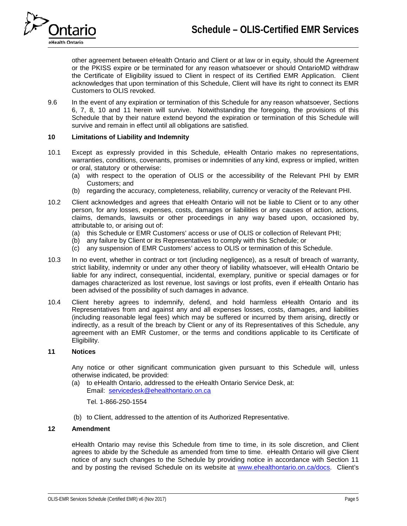

other agreement between eHealth Ontario and Client or at law or in equity, should the Agreement or the PKISS expire or be terminated for any reason whatsoever or should OntarioMD withdraw the Certificate of Eligibility issued to Client in respect of its Certified EMR Application. Client acknowledges that upon termination of this Schedule, Client will have its right to connect its EMR Customers to OLIS revoked.

9.6 In the event of any expiration or termination of this Schedule for any reason whatsoever, Sections 6, 7, 8, 10 and 11 herein will survive. Notwithstanding the foregoing, the provisions of this Schedule that by their nature extend beyond the expiration or termination of this Schedule will survive and remain in effect until all obligations are satisfied.

### **10 Limitations of Liability and Indemnity**

- 10.1 Except as expressly provided in this Schedule, eHealth Ontario makes no representations, warranties, conditions, covenants, promises or indemnities of any kind, express or implied, written or oral, statutory or otherwise:
	- (a) with respect to the operation of OLIS or the accessibility of the Relevant PHI by EMR Customers; and
	- (b) regarding the accuracy, completeness, reliability, currency or veracity of the Relevant PHI.
- 10.2 Client acknowledges and agrees that eHealth Ontario will not be liable to Client or to any other person, for any losses, expenses, costs, damages or liabilities or any causes of action, actions, claims, demands, lawsuits or other proceedings in any way based upon, occasioned by, attributable to, or arising out of:
	- (a) this Schedule or EMR Customers' access or use of OLIS or collection of Relevant PHI;
	- (b) any failure by Client or its Representatives to comply with this Schedule; or
	- (c) any suspension of EMR Customers' access to OLIS or termination of this Schedule.
- 10.3 In no event, whether in contract or tort (including negligence), as a result of breach of warranty, strict liability, indemnity or under any other theory of liability whatsoever, will eHealth Ontario be liable for any indirect, consequential, incidental, exemplary, punitive or special damages or for damages characterized as lost revenue, lost savings or lost profits, even if eHealth Ontario has been advised of the possibility of such damages in advance.
- 10.4 Client hereby agrees to indemnify, defend, and hold harmless eHealth Ontario and its Representatives from and against any and all expenses losses, costs, damages, and liabilities (including reasonable legal fees) which may be suffered or incurred by them arising, directly or indirectly, as a result of the breach by Client or any of its Representatives of this Schedule, any agreement with an EMR Customer, or the terms and conditions applicable to its Certificate of Eligibility.

# <span id="page-4-0"></span>**11 Notices**

Any notice or other significant communication given pursuant to this Schedule will, unless otherwise indicated, be provided:

(a) to eHealth Ontario, addressed to the eHealth Ontario Service Desk, at: Email: [servicedesk@ehealthontario.on.ca](mailto:servicedesk@ehealthontario.on.ca)

Tel. 1-866-250-1554

(b) to Client, addressed to the attention of its Authorized Representative.

## **12 Amendment**

eHealth Ontario may revise this Schedule from time to time, in its sole discretion, and Client agrees to abide by the Schedule as amended from time to time. eHealth Ontario will give Client notice of any such changes to the Schedule by providing notice in accordance with Section [11](#page-4-0) and by posting the revised Schedule on its website at [www.ehealthontario.on.ca/docs.](http://www.ehealthontario.on.ca/docs) Client's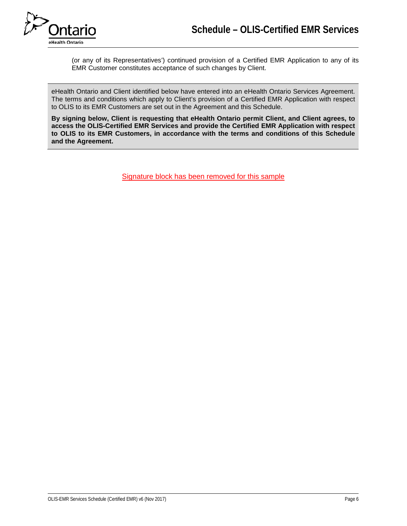

(or any of its Representatives') continued provision of a Certified EMR Application to any of its EMR Customer constitutes acceptance of such changes by Client.

eHealth Ontario and Client identified below have entered into an eHealth Ontario Services Agreement. The terms and conditions which apply to Client's provision of a Certified EMR Application with respect to OLIS to its EMR Customers are set out in the Agreement and this Schedule.

**By signing below, Client is requesting that eHealth Ontario permit Client, and Client agrees, to access the OLIS-Certified EMR Services and provide the Certified EMR Application with respect to OLIS to its EMR Customers, in accordance with the terms and conditions of this Schedule and the Agreement.** 

Signature block has been removed for this sample